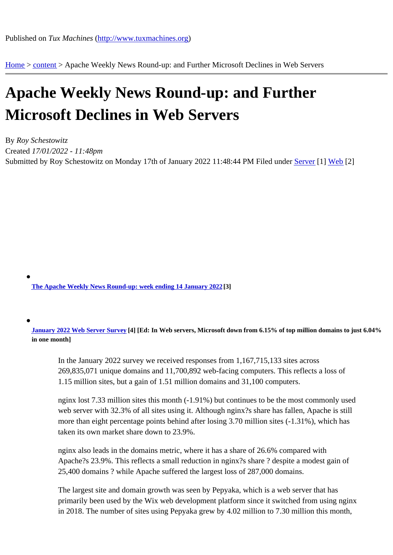Home > content > Apache [Weekly News Round-up: a](http://www.tuxmachines.org)nd Further Microsoft Declines in Web Servers

## [Ap](http://www.tuxmachines.org/)[ache](http://www.tuxmachines.org/node) Weekly News Round-up: and Further Microsoft Declines in Web Servers

By Roy Schestowitz Created 17/01/2022 - 11:48pm Submitted by Roy Schestowitz on Monday 17th of January 2022 11:48:44 PM under Server[1] Web[2]

The Apache Weekly News Round-up: week ending 14 January 2022

January 2022 Web Server Surve<sup>[4]</sup> [Ed: In Web servers, Microsoft down from 6.15% of top million domains to just 6.04% in one month]

[In the January 2022](https://news.netcraft.com/archives/2022/01/17/january-2022-web-server-survey.html) survey we received responses from 1,167,715,133 sites across 269,835,071 unique domains and 11,700,892 web-facing computers. This reflects a loss of 1.15 million sites, but a gain of 1.51 million domains and 31,100 computers.

nginx lost 7.33 million sites this month (-1.91%) but continues to be the most commonly used web server with 32.3% of all sites using it. Although nginx?s share has fallen, Apache is still more than eight percentage points behind after losing 3.70 million sites (-1.31%), which has taken its own market share down to 23.9%.

nginx also leads in the domains metric, where it has a share of 26.6% compared with Apache?s 23.9%. This reflects a small reduction in nginx?s share ? despite a modest gain of 25,400 domains ? while Apache suffered the largest loss of 287,000 domains.

The largest site and domain growth was seen by Pepyaka, which is a web server that has primarily been used by the Wix web development platform since it switched from using nginx in 2018. The number of sites using Pepyaka grew by 4.02 million to 7.30 million this month,